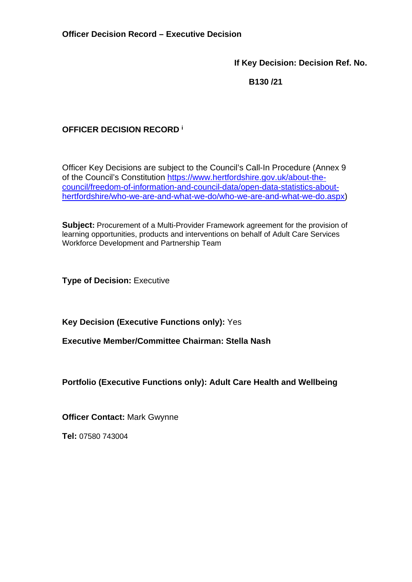**If Key Decision: Decision Ref. No.** 

 **B130 /21** 

# **OFFICER DECISION RECORD <sup>i</sup>**

Officer Key Decisions are subject to the Council's Call-In Procedure (Annex 9 of the Council's Constitution [https://www.hertfordshire.gov.uk/about-the](https://www.hertfordshire.gov.uk/about-the-council/freedom-of-information-and-council-data/open-data-statistics-about-hertfordshire/who-we-are-and-what-we-do/who-we-are-and-what-we-do.aspx)[council/freedom-of-information-and-council-data/open-data-statistics-about](https://www.hertfordshire.gov.uk/about-the-council/freedom-of-information-and-council-data/open-data-statistics-about-hertfordshire/who-we-are-and-what-we-do/who-we-are-and-what-we-do.aspx)[hertfordshire/who-we-are-and-what-we-do/who-we-are-and-what-we-do.aspx\)](https://www.hertfordshire.gov.uk/about-the-council/freedom-of-information-and-council-data/open-data-statistics-about-hertfordshire/who-we-are-and-what-we-do/who-we-are-and-what-we-do.aspx)

**Subject:** Procurement of a Multi-Provider Framework agreement for the provision of learning opportunities, products and interventions on behalf of Adult Care Services Workforce Development and Partnership Team

**Type of Decision: Executive** 

**Key Decision (Executive Functions only):** Yes

**Executive Member/Committee Chairman: Stella Nash** 

## **Portfolio (Executive Functions only): Adult Care Health and Wellbeing**

**Officer Contact:** Mark Gwynne

**Tel:** 07580 743004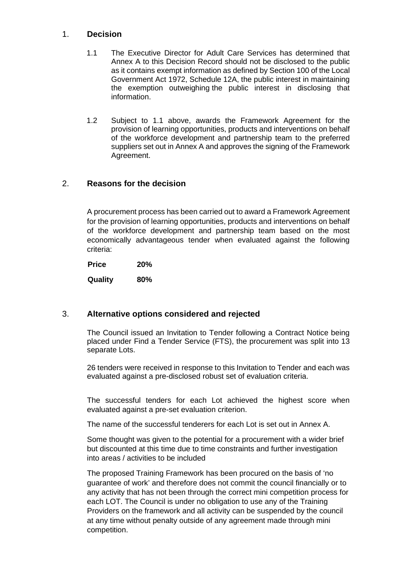#### 1. **Decision**

- 1.1 The Executive Director for Adult Care Services has determined that Annex A to this Decision Record should not be disclosed to the public as it contains exempt information as defined by Section 100 of the Local Government Act 1972, Schedule 12A, the public interest in maintaining the exemption outweighing the public interest in disclosing that information.
- 1.2 Subject to 1.1 above, awards the Framework Agreement for the provision of learning opportunities, products and interventions on behalf of the workforce development and partnership team to the preferred suppliers set out in Annex A and approves the signing of the Framework Agreement.

#### 2. **Reasons for the decision**

A procurement process has been carried out to award a Framework Agreement for the provision of learning opportunities, products and interventions on behalf of the workforce development and partnership team based on the most economically advantageous tender when evaluated against the following criteria:

 **Price 20% Quality 80%** 

#### 3. **Alternative options considered and rejected**

The Council issued an Invitation to Tender following a Contract Notice being placed under Find a Tender Service (FTS), the procurement was split into 13 separate Lots.

26 tenders were received in response to this Invitation to Tender and each was evaluated against a pre-disclosed robust set of evaluation criteria.

The successful tenders for each Lot achieved the highest score when evaluated against a pre-set evaluation criterion.

The name of the successful tenderers for each Lot is set out in Annex A.

Some thought was given to the potential for a procurement with a wider brief but discounted at this time due to time constraints and further investigation into areas / activities to be included

The proposed Training Framework has been procured on the basis of 'no guarantee of work' and therefore does not commit the council financially or to any activity that has not been through the correct mini competition process for each LOT. The Council is under no obligation to use any of the Training Providers on the framework and all activity can be suspended by the council at any time without penalty outside of any agreement made through mini competition.